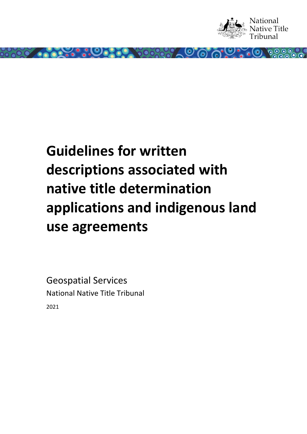

# **Guidelines for written descriptions associated with native title determination applications and indigenous land use agreements**

00.000

Geospatial Services National Native Title Tribunal 2021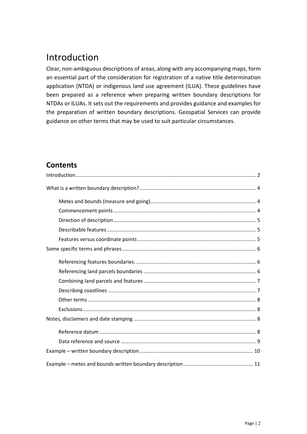# <span id="page-1-0"></span>Introduction

Clear, non-ambiguous descriptions of areas, along with any accompanying maps, form an essential part of the consideration for registration of a native title determination application (NTDA) or indigenous land use agreement (ILUA). These guidelines have been prepared as a reference when preparing written boundary descriptions for NTDAs or ILUAs. It sets out the requirements and provides guidance and examples for the preparation of written boundary descriptions. Geospatial Services can provide guidance on other terms that may be used to suit particular circumstances.

### **Contents**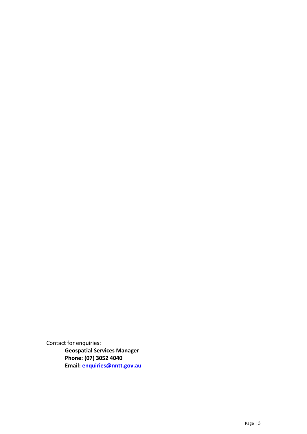Contact for enquiries: **Geospatial Services Manager Phone: (07) 3052 4040 Email: [enquiries@nntt.gov.au](mailto:enquiries@nntt.gov.au)**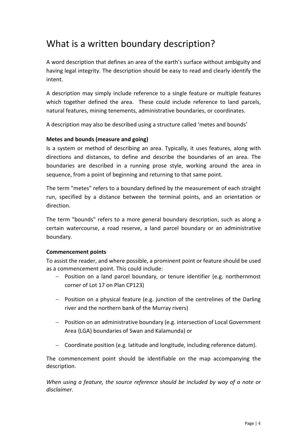## <span id="page-3-0"></span>What is a written boundary description?

A word description that defines an area of the earth's surface without ambiguity and having legal integrity. The description should be easy to read and clearly identify the intent.

A description may simply include reference to a single feature or multiple features which together defined the area. These could include reference to land parcels, natural features, mining tenements, administrative boundaries, or coordinates.

A description may also be described using a structure called 'metes and bounds'

#### <span id="page-3-1"></span>**Metes and bounds (measure and going)**

Is a system or method of describing an area. Typically, it uses features, along with directions and distances, to define and describe the boundaries of an area. The boundaries are described in a running prose style, working around the area in sequence, from a point of beginning and returning to that same point.

The term "metes" refers to a boundary defined by the measurement of each straight run, specified by a distance between the terminal points, and an orientation or direction.

The term "bounds" refers to a more general boundary description, such as along a certain watercourse, a road reserve, a land parcel boundary or an administrative boundary.

#### <span id="page-3-2"></span>**Commencement points**

To assist the reader, and where possible, a prominent point or feature should be used as a commencement point. This could include:

- − Position on a land parcel boundary, or tenure identifier (e.g. northernmost corner of Lot 17 on Plan CP123)
- − Position on a physical feature (e.g. junction of the centrelines of the Darling river and the northern bank of the Murray rivers)
- − Position on an administrative boundary (e.g. intersection of Local Government Area {LGA} boundaries of Swan and Kalamunda) or
- − Coordinate position (e.g. latitude and longitude, including reference datum).

The commencement point should be identifiable on the map accompanying the description.

*When using a feature, the source reference should be included by way of a note or disclaimer.*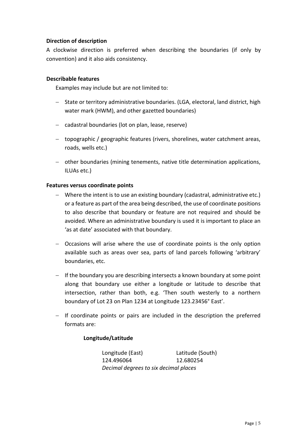#### <span id="page-4-0"></span>**Direction of description**

A clockwise direction is preferred when describing the boundaries (if only by convention) and it also aids consistency.

#### <span id="page-4-1"></span>**Describable features**

Examples may include but are not limited to:

- − State or territory administrative boundaries. (LGA, electoral, land district, high water mark (HWM), and other gazetted boundaries)
- − cadastral boundaries (lot on plan, lease, reserve)
- − topographic / geographic features (rivers, shorelines, water catchment areas, roads, wells etc.)
- − other boundaries (mining tenements, native title determination applications, ILUAs etc.)

#### <span id="page-4-2"></span>**Features versus coordinate points**

- − Where the intent is to use an existing boundary (cadastral, administrative etc.) or a feature as part of the area being described, the use of coordinate positions to also describe that boundary or feature are not required and should be avoided. Where an administrative boundary is used it is important to place an 'as at date' associated with that boundary.
- − Occasions will arise where the use of coordinate points is the only option available such as areas over sea, parts of land parcels following 'arbitrary' boundaries, etc.
- − If the boundary you are describing intersects a known boundary at some point along that boundary use either a longitude or latitude to describe that intersection, rather than both, e.g. 'Then south westerly to a northern boundary of Lot 23 on Plan 1234 at Longitude 123.23456° East'.
- − If coordinate points or pairs are included in the description the preferred formats are:

#### **Longitude/Latitude**

Longitude (East) Latitude (South) 124.496064 12.680254 *Decimal degrees to six decimal places*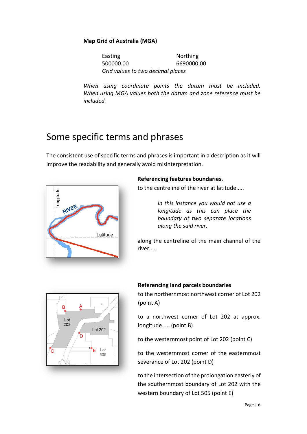#### **Map Grid of Australia (MGA)**

Easting **Northing** 500000.00 6690000.00 *Grid values to two decimal places*

*When using coordinate points the datum must be included. When using MGA values both the datum and zone reference must be included.*

### <span id="page-5-0"></span>Some specific terms and phrases

The consistent use of specific terms and phrases is important in a description as it will improve the readability and generally avoid misinterpretation.



#### <span id="page-5-1"></span>**Referencing features boundaries.**

to the centreline of the river at latitude.....

*In this instance you would not use a longitude as this can place the boundary at two separate locations along the said river.*

along the centreline of the main channel of the river.....



#### <span id="page-5-2"></span>**Referencing land parcels boundaries** to the northernmost northwest corner of Lot 202 (point A)

to a northwest corner of Lot 202 at approx. longitude..... (point B)

to the westernmost point of Lot 202 (point C)

to the westernmost corner of the easternmost severance of Lot 202 (point D)

to the intersection of the prolongation easterly of the southernmost boundary of Lot 202 with the western boundary of Lot 505 (point E)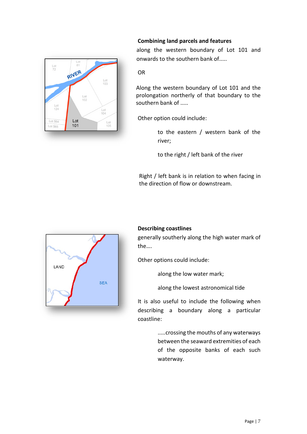<span id="page-6-0"></span>

#### **Combining land parcels and features**

 along the western boundary of Lot 101 and onwards to the southern bank of.....

#### OR

Along the western boundary of Lot 101 and the prolongation northerly of that boundary to the southern bank of .....

Other option could include:

to the eastern / western bank of the river;

to the right / left bank of the river

Right / left bank is in relation to when facing in the direction of flow or downstream.

<span id="page-6-1"></span>

generally southerly along the high water mark of the….

Other options could include:

along the low water mark;

along the lowest astronomical tide

It is also useful to include the following when describing a boundary along a particular coastline:

> .....crossing the mouths of any waterways between the seaward extremities of each of the opposite banks of each such waterway.

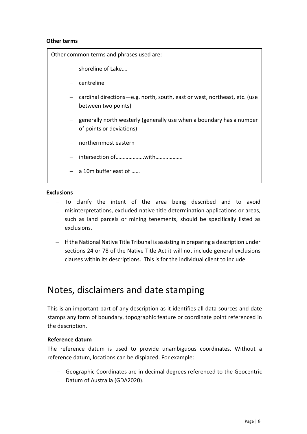#### <span id="page-7-0"></span>**Other terms**

Other common terms and phrases used are:

- − shoreline of Lake….
- − centreline
- − cardinal directions—e.g. north, south, east or west, northeast, etc. (use between two points)
- − generally north westerly (generally use when a boundary has a number of points or deviations)
- − northernmost eastern
- − intersection of………………..with……………….
- − a 10m buffer east of ……

#### <span id="page-7-1"></span>**Exclusions**

- − To clarify the intent of the area being described and to avoid misinterpretations, excluded native title determination applications or areas, such as land parcels or mining tenements, should be specifically listed as exclusions.
- − If the National Native Title Tribunal is assisting in preparing a description under sections 24 or 78 of the Native Title Act it will not include general exclusions clauses within its descriptions. This is for the individual client to include.

### <span id="page-7-2"></span>Notes, disclaimers and date stamping

This is an important part of any description as it identifies all data sources and date stamps any form of boundary, topographic feature or coordinate point referenced in the description.

#### <span id="page-7-3"></span>**Reference datum**

The reference datum is used to provide unambiguous coordinates. Without a reference datum, locations can be displaced. For example:

− Geographic Coordinates are in decimal degrees referenced to the Geocentric Datum of Australia (GDA2020).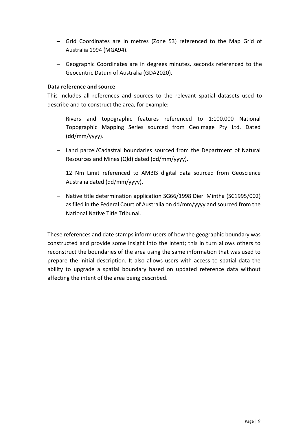- − Grid Coordinates are in metres (Zone 53) referenced to the Map Grid of Australia 1994 (MGA94).
- − Geographic Coordinates are in degrees minutes, seconds referenced to the Geocentric Datum of Australia (GDA2020).

#### <span id="page-8-0"></span>**Data reference and source**

This includes all references and sources to the relevant spatial datasets used to describe and to construct the area, for example:

- − Rivers and topographic features referenced to 1:100,000 National Topographic Mapping Series sourced from GeoImage Pty Ltd. Dated (dd/mm/yyyy).
- − Land parcel/Cadastral boundaries sourced from the Department of Natural Resources and Mines (Qld) dated (dd/mm/yyyy).
- − 12 Nm Limit referenced to AMBIS digital data sourced from Geoscience Australia dated (dd/mm/yyyy).
- − Native title determination application SG66/1998 Dieri Mintha (SC1995/002) as filed in the Federal Court of Australia on dd/mm/yyyy and sourced from the National Native Title Tribunal.

These references and date stamps inform users of how the geographic boundary was constructed and provide some insight into the intent; this in turn allows others to reconstruct the boundaries of the area using the same information that was used to prepare the initial description. It also allows users with access to spatial data the ability to upgrade a spatial boundary based on updated reference data without affecting the intent of the area being described.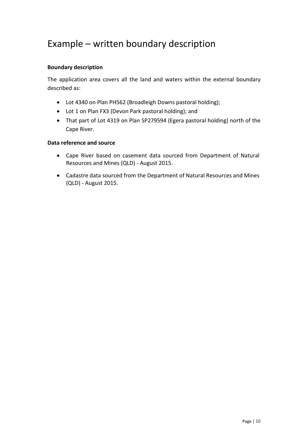## <span id="page-9-0"></span>Example – written boundary description

#### **Boundary description**

The application area covers all the land and waters within the external boundary described as:

- Lot 4340 on Plan PH562 (Broadleigh Downs pastoral holding);
- Lot 1 on Plan FX3 (Devon Park pastoral holding); and
- That part of Lot 4319 on Plan SP279594 (Egera pastoral holding) north of the Cape River.

#### **Data reference and source**

- Cape River based on casement data sourced from Department of Natural Resources and Mines (QLD) - August 2015.
- Cadastre data sourced from the Department of Natural Resources and Mines (QLD) - August 2015.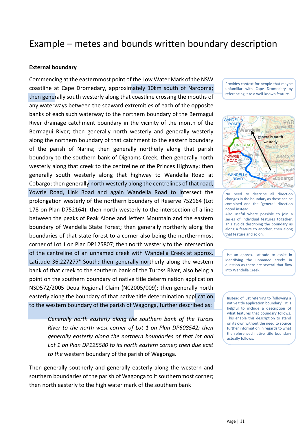### <span id="page-10-0"></span>Example – metes and bounds written boundary description

#### **External boundary**

Commencing at the easternmost point of the Low Water Mark of the NSW coastline at Cape Dromedary, approximately 10km south of Narooma; then generally south westerly along that coastline crossing the mouths of any waterways between the seaward extremities of each of the opposite banks of each such waterway to the northern boundary of the Bermagui River drainage catchment boundary in the vicinity of the month of the Bermagui River; then generally north westerly and generally westerly along the northern boundary of that catchment to the eastern boundary of the parish of Narira; then generally northerly along that parish boundary to the southern bank of Dignams Creek; then generally north westerly along that creek to the centreline of the Princes Highway; then generally south westerly along that highway to Wandella Road at Cobargo; then generally north westerly along the centrelines of that road, Yowrie Road, Link Road and again Wandella Road to intersect the prolongation westerly of the northern boundary of Reserve 752164 (Lot 178 on Plan D752164); then north westerly to the intersection of a line between the peaks of Peak Alone and Jeffers Mountain and the eastern boundary of Wandella State Forest; then generally northerly along the boundaries of that state forest to a corner also being the northernmost corner of Lot 1 on Plan DP125807; then north westerly to the intersection of the centreline of an unnamed creek with Wandella Creek at approx. Latitude 36.227277° South; then generally northerly along the western bank of that creek to the southern bank of the Tuross River, also being a point on the southern boundary of native title determination application NSD572/2005 Deua Regional Claim (NC2005/009); then generally north easterly along the boundary of that native title determination application to the western boundary of the parish of Wagonga, further described as:

> *Generally north easterly along the southern bank of the Tuross River to the north west corner of Lot 1 on Plan DP608542; then generally easterly along the northern boundaries of that lot and Lot 1 on Plan DP125580 to its north eastern corner; then due east to the* western boundary of the parish of Wagonga.

Then generally southerly and generally easterly along the western and southern boundaries of the parish of Wagonga to it southernmost corner; then north easterly to the high water mark of the southern bank

Provides context for people that maybe unfamiliar with Cape Dromedary by referencing it to a well-known feature.



No need to describe all direction changes in the boundary as these can be combined and the 'general' direction noted instead.

Also useful where possible to join a series of individual features together. This avoids describing the boundary as along a feature to another, then along that feature and so on.

Use an approx. Latitude to assist in identifying the unnamed creeks in question as there are several that flow into Wandella Creek.

Instead of just referring to 'following a native title application boundary'. It is helpful to include a description of what features that boundary follows. This enable this description to stand on its own without the need to source further information in regards to what the referenced native title boundary actually follows.